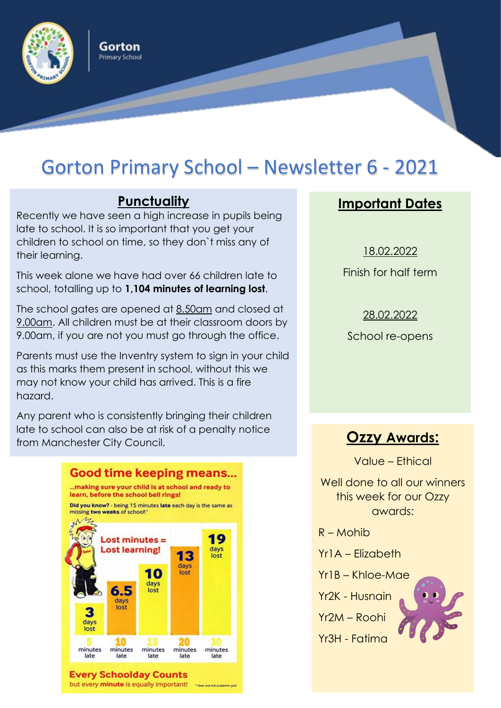

# Gorton Primary School – Newsletter 6 - 2021

## **Punctuality**

Gorton **Primary School** 

Recently we have seen a high increase in pupils being late to school. It is so important that you get your children to school on time, so they don`t miss any of their learning.

This week alone we have had over 66 children late to school, totalling up to **1,104 minutes of learning lost**.

The school gates are opened at 8.50am and closed at 9.00am. All children must be at their classroom doors by 9.00am, if you are not you must go through the office.

Parents must use the Inventry system to sign in your child as this marks them present in school, without this we may not know your child has arrived. This is a fire hazard.

Any parent who is consistently bringing their children late to school can also be at risk of a penalty notice from Manchester City Council. **Ozzy Awards:**



# **Important Dates**

18.02.2022 Finish for half term

28.02.2022 School re-opens

Value – Ethical

Well done to all our winners this week for our Ozzy awards:

- R Mohib
- Yr1A Elizabeth
- Yr1B Khloe-Mae
- Yr2K Husnain
- 
- Yr2M Roohi Yr3H - Fatima